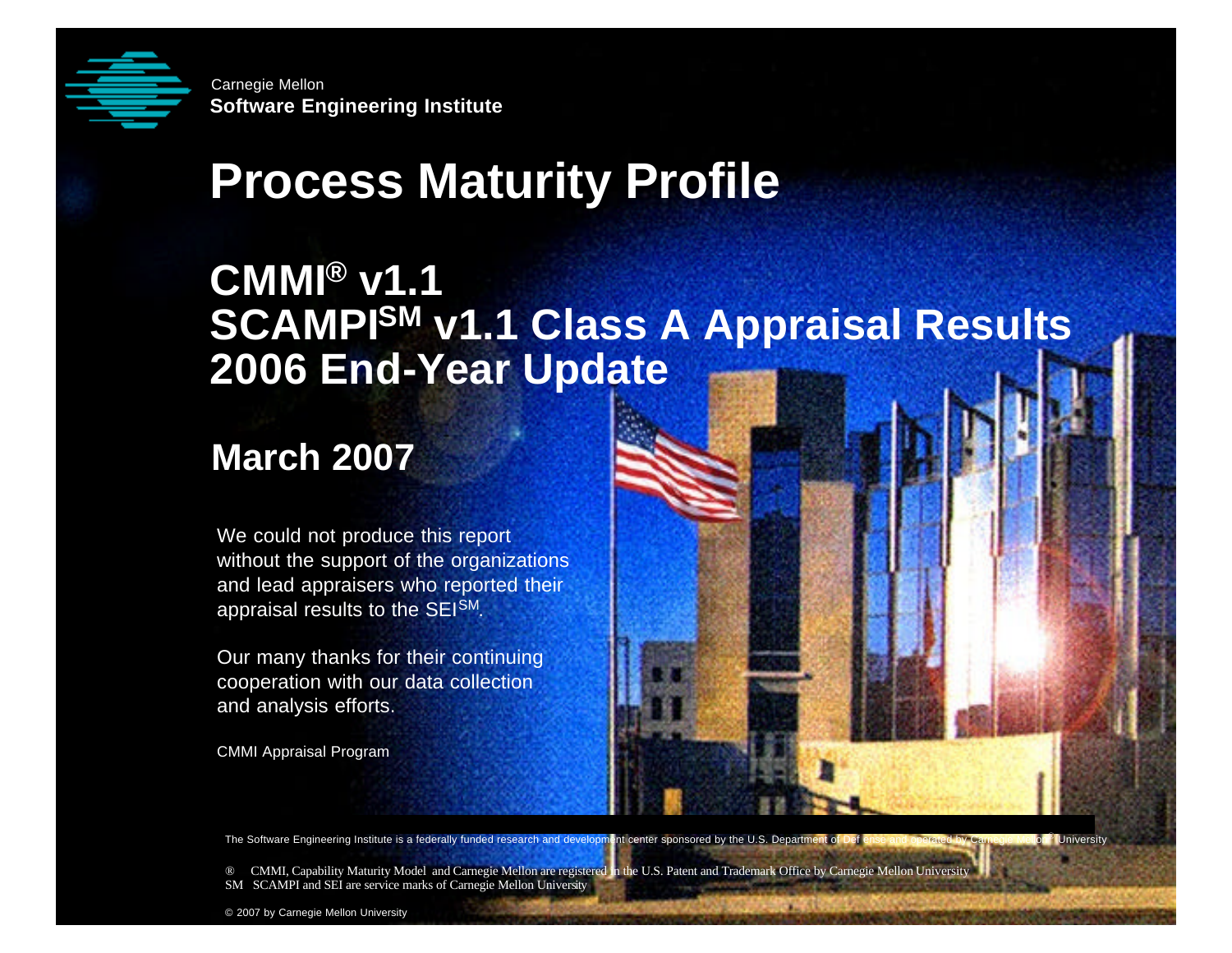

**Solution**<br> **Software Engineering Institute**<br> **Software Institute Software Engineering Institute** Carnegie Mellon

# **Process Maturity Profile**

#### **CMMI® v1.1 SCAMPISM v1.1 Class A Appraisal Results 2006 End-Year Update**

#### **March 2007**

We could not produce this report without the support of the organizations and lead appraisers who reported their appraisal results to the SEISM.

Our many thanks for their continuing cooperation with our data collection and analysis efforts.

CMMI Appraisal Program

The Software Engineering Institute is a federally funded research and development center sponsored by the U.S. Department of Def ense and operated by Carnegie Mellon® University

® CMMI, Capability Maturity Model and Carnegie Mellon are registered in the U.S. Patent and Trademark Office by Carnegie Mellon University SM SCAMPI and SEI are service marks of Carnegie Mellon University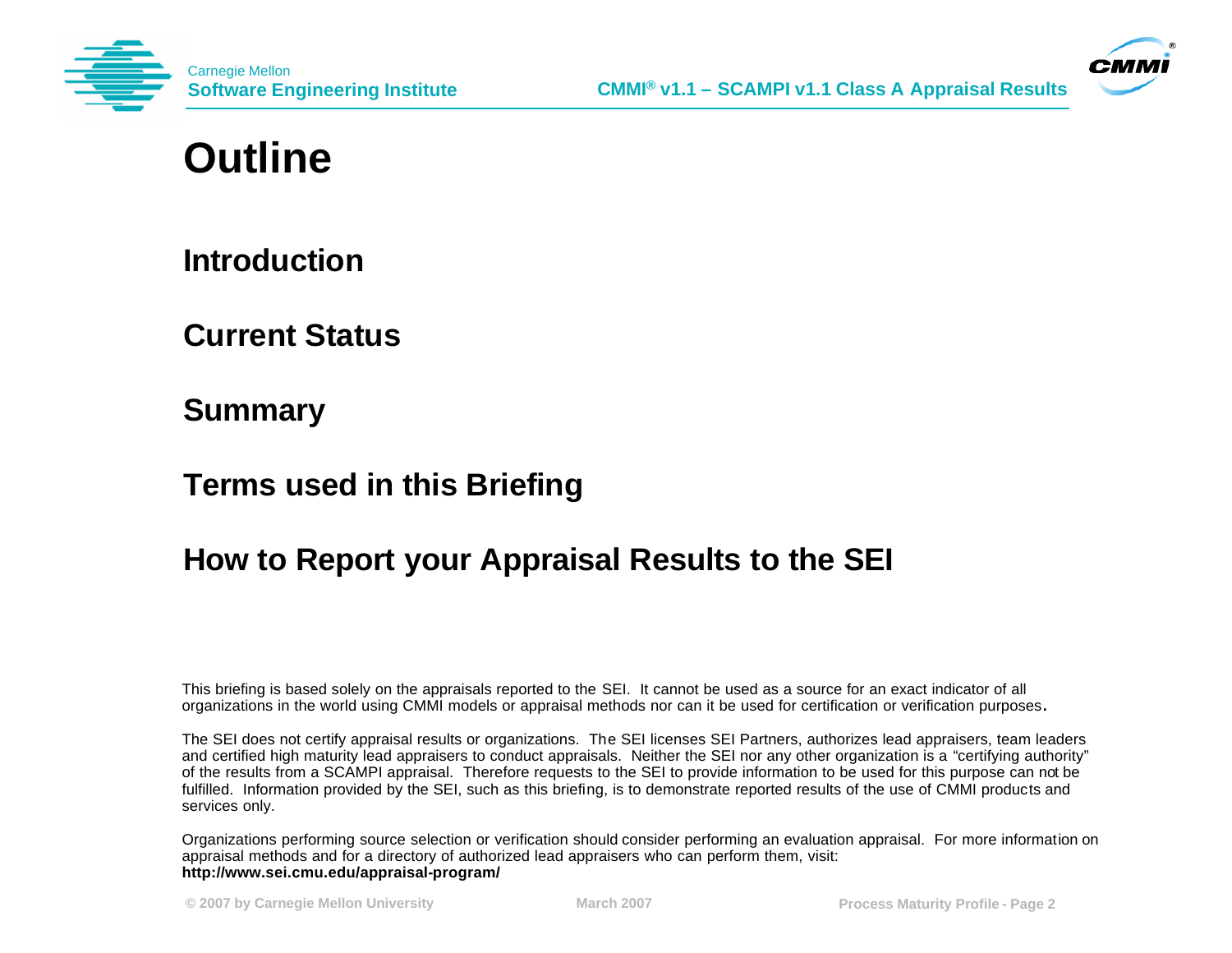



#### **Outline**

**Introduction**

**Current Status**

**Summary**

**Terms used in this Briefing**

#### **How to Report your Appraisal Results to the SEI**

This briefing is based solely on the appraisals reported to the SEI. It cannot be used as a source for an exact indicator of all organizations in the world using CMMI models or appraisal methods nor can it be used for certification or verification purposes**.**

The SEI does not certify appraisal results or organizations. The SEI licenses SEI Partners, authorizes lead appraisers, team leaders and certified high maturity lead appraisers to conduct appraisals. Neither the SEI nor any other organization is a "certifying authority" of the results from a SCAMPI appraisal. Therefore requests to the SEI to provide information to be used for this purpose can not be fulfilled. Information provided by the SEI, such as this briefing, is to demonstrate reported results of the use of CMMI products and services only.

Organizations performing source selection or verification should consider performing an evaluation appraisal. For more information on appraisal methods and for a directory of authorized lead appraisers who can perform them, visit: **http://www.sei.cmu.edu/appraisal-program/**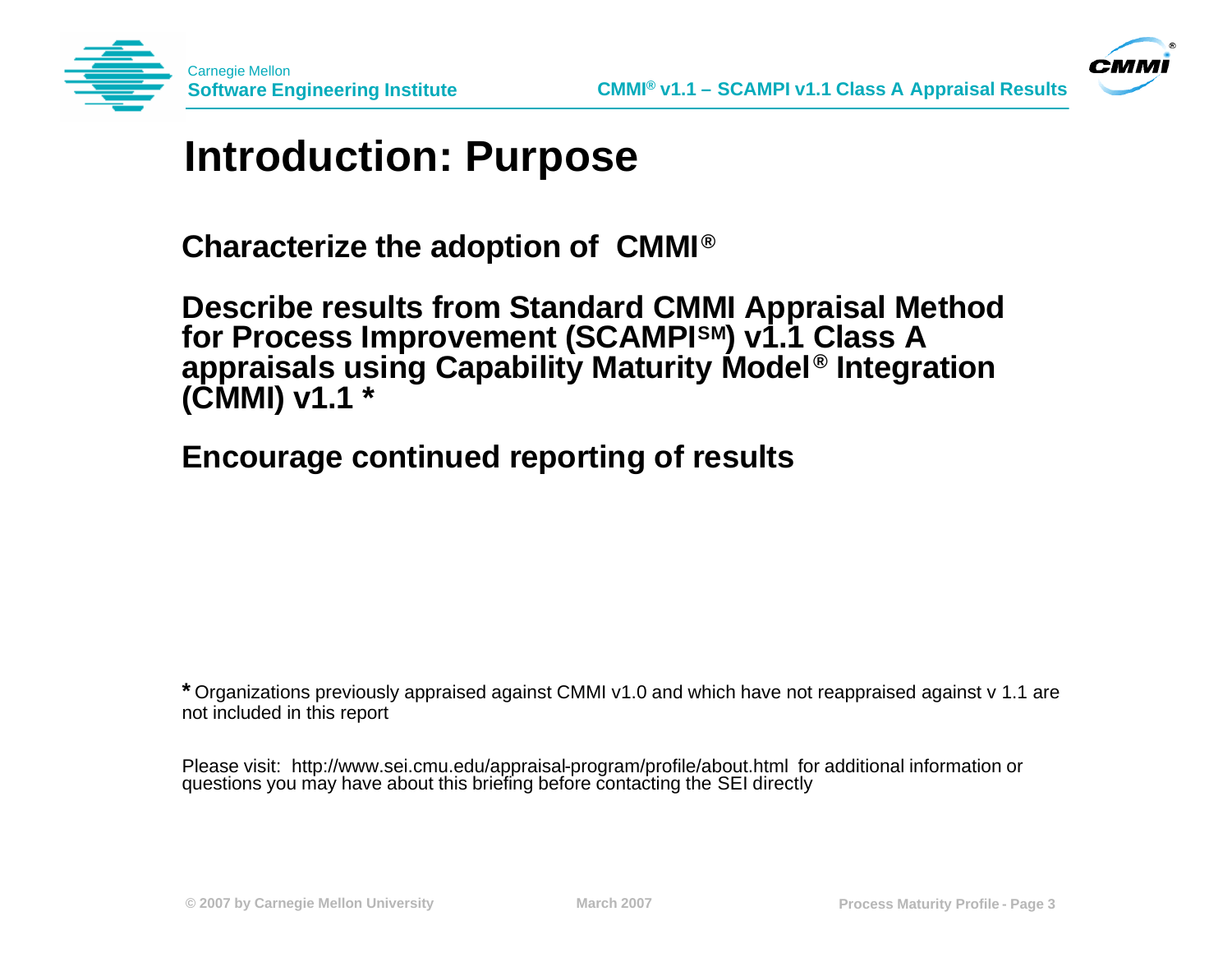



#### **Introduction: Purpose**

**Characterize the adoption of CMMI® ®**

**Describe results from Standard CMMI Appraisal Method for Process Improvement (SCAMPISM) v1.1 Class A appraisals using Capability Maturity Model® Integration (CMMI) v1.1 \***

**Encourage continued reporting of results**

**\*** Organizations previously appraised against CMMI v1.0 and which have not reappraised against v 1.1 are not included in this report

Please visit: http://www.sei.cmu.edu/appraisal-program/profile/about.html for additional information or questions you may have about this briefing before contacting the SEI directly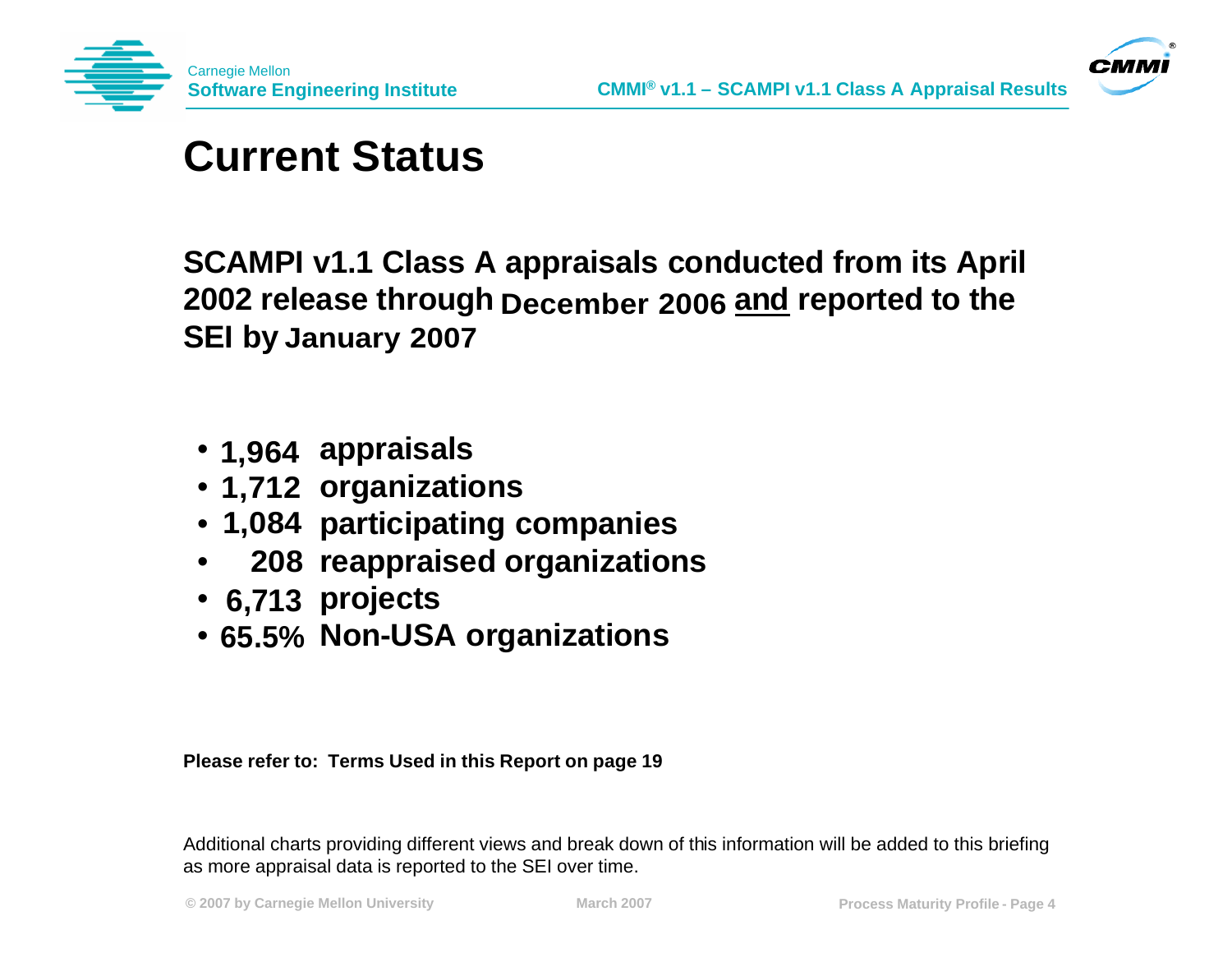



### **Current Status**

**SCAMPI v1.1 Class A appraisals conducted from its April**  2002 release through December 2006 and reported to the **SEI by January 2007**

- **1,964 appraisals**
- **organizations 1,712**
- **1,084 participating companies**
- **reappraised organizations 208**
- **projects 6,713**
- **Non-USA organizations 65.5%**

**Please refer to: Terms Used in this Report on page 19**

Additional charts providing different views and break down of this information will be added to this briefing as more appraisal data is reported to the SEI over time.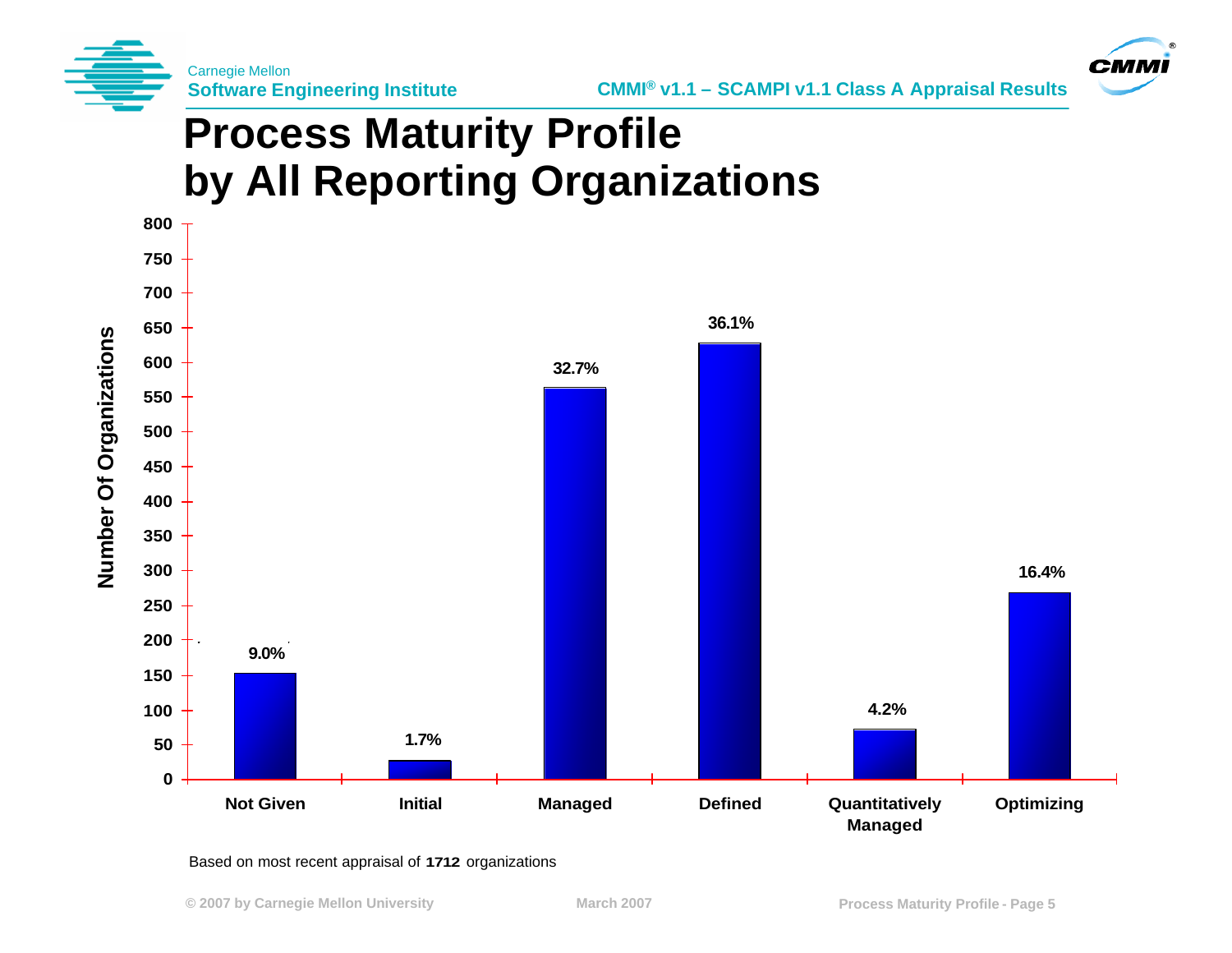



# **Process Maturity Profile by All Reporting Organizations**



#### Based on most recent appraisal of 1712 organizations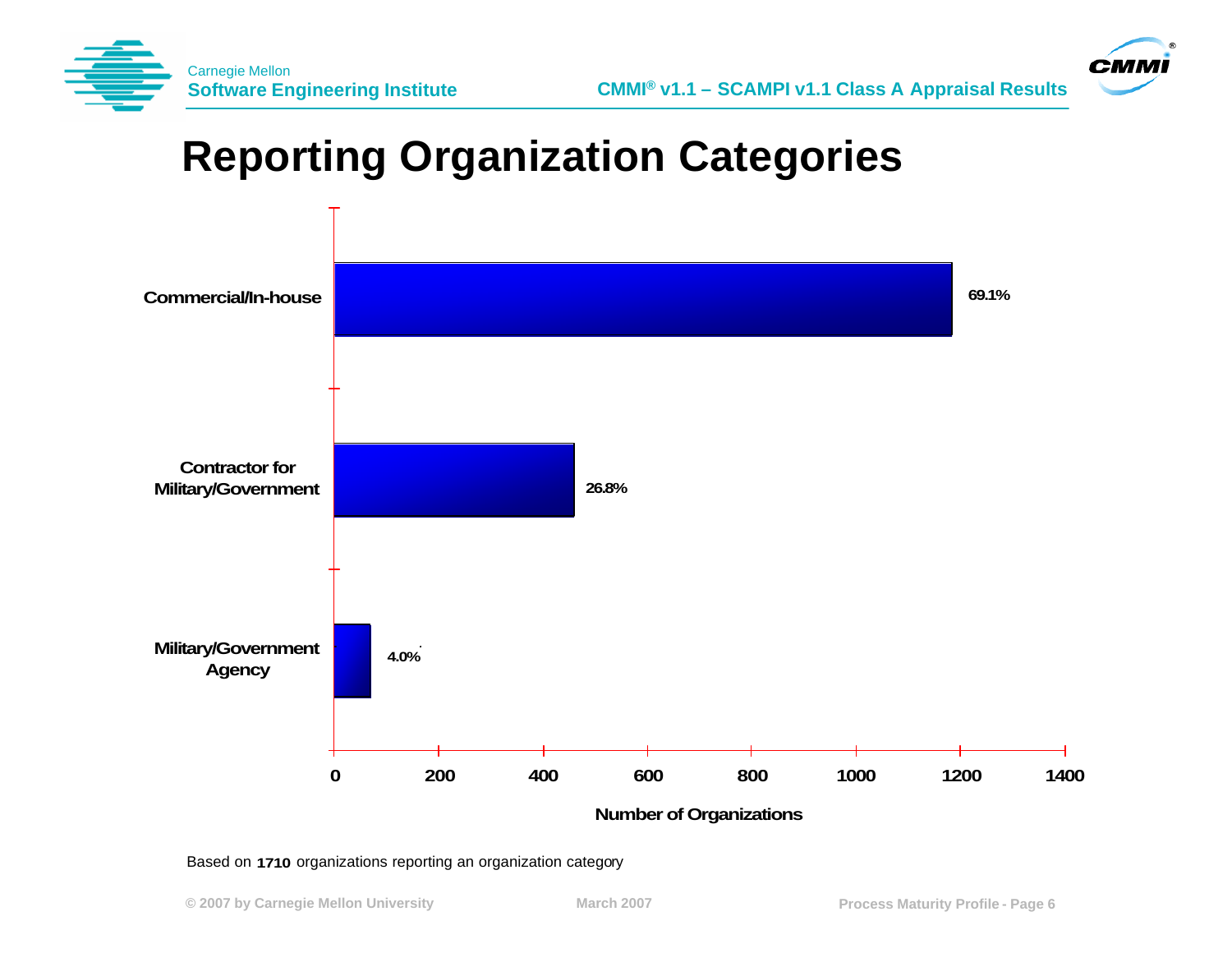



### **Reporting Organization Categories**



Based on 1710 organizations reporting an organization category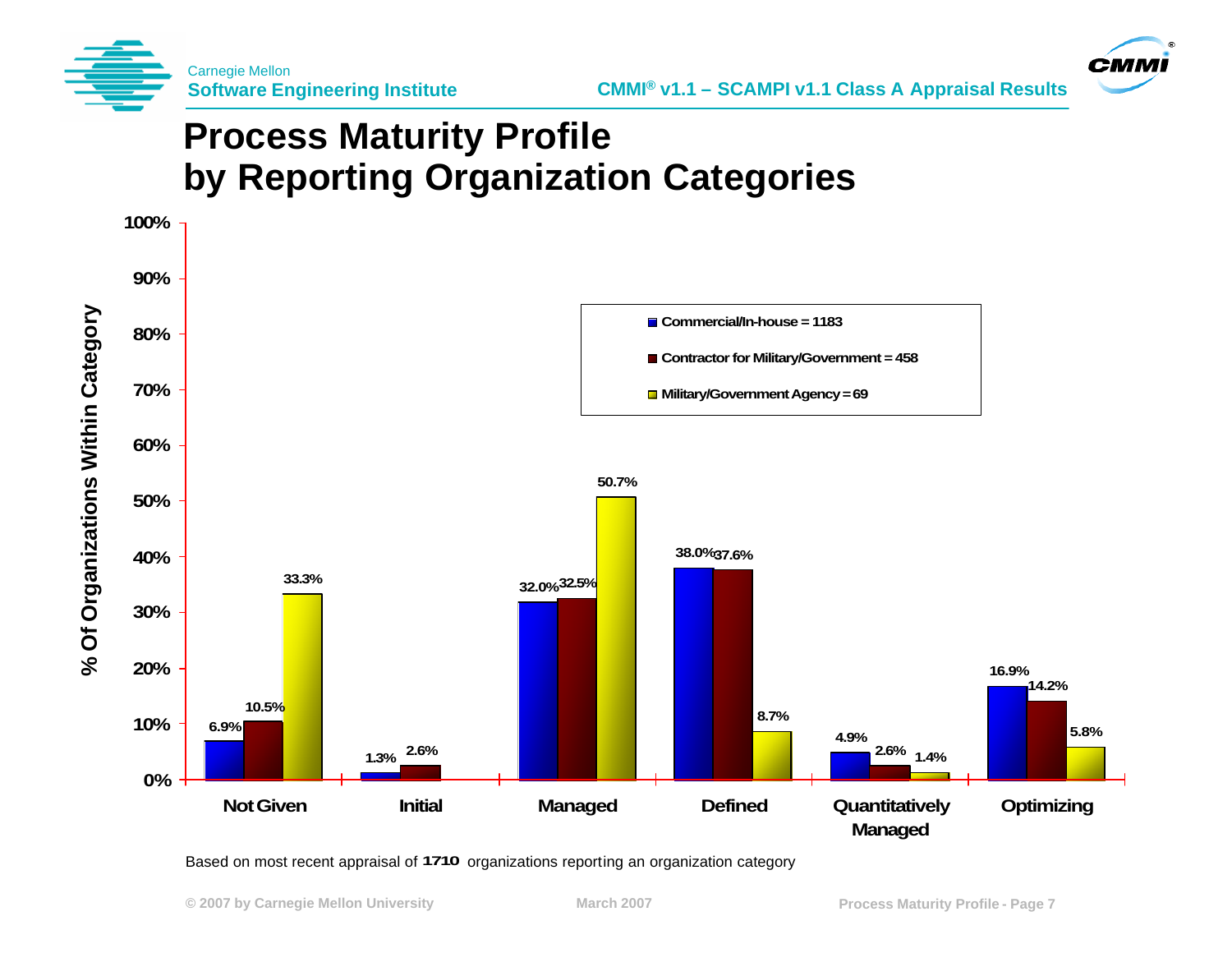



#### **Process Maturity Profile by Reporting Organization Categories**



Based on most recent appraisal of 1710 organizations reporting an organization category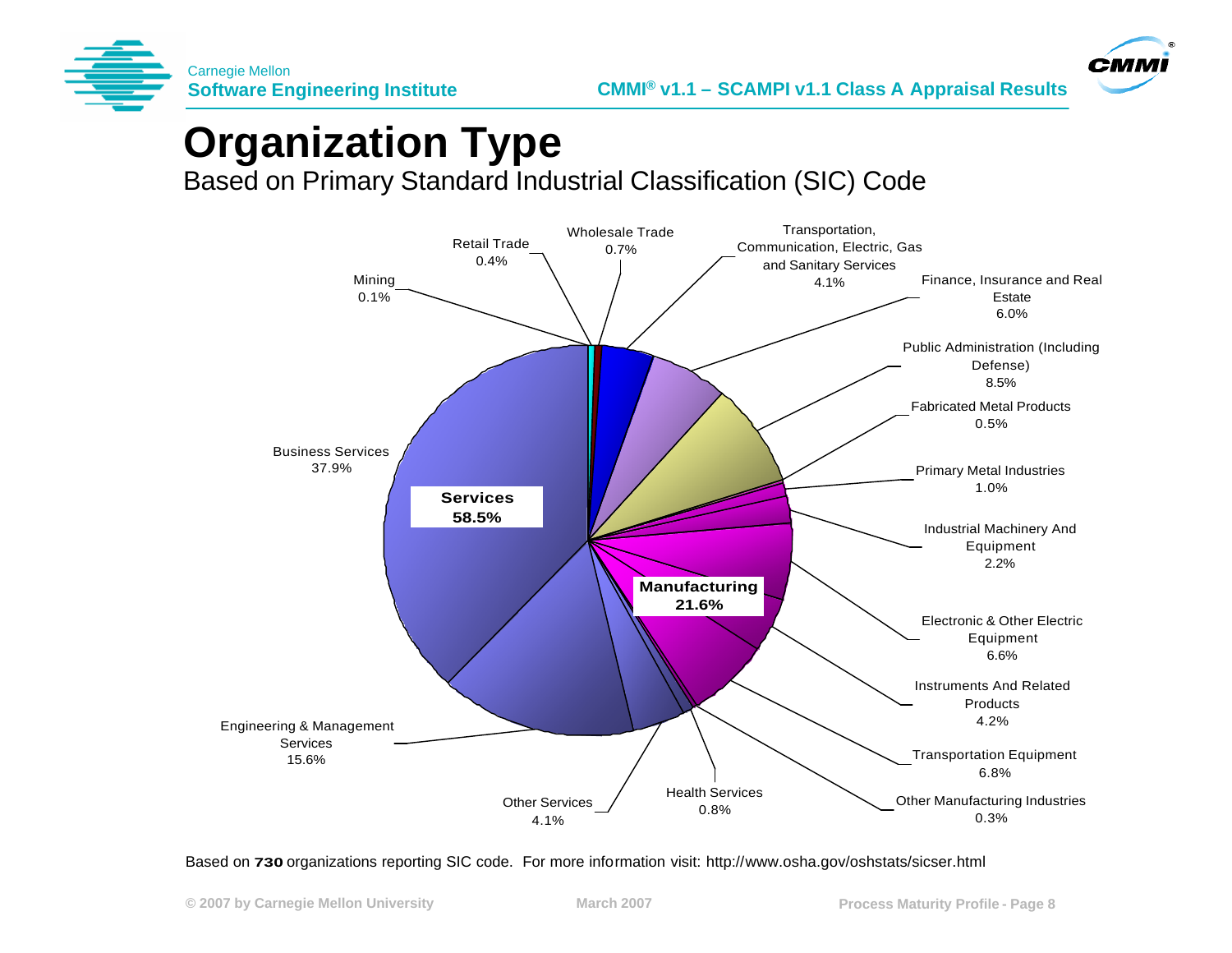



### **Organization Type**

Based on Primary Standard Industrial Classification (SIC) Code



Based on 730 organizations reporting SIC code. For more information visit: http://www.osha.gov/oshstats/sicser.html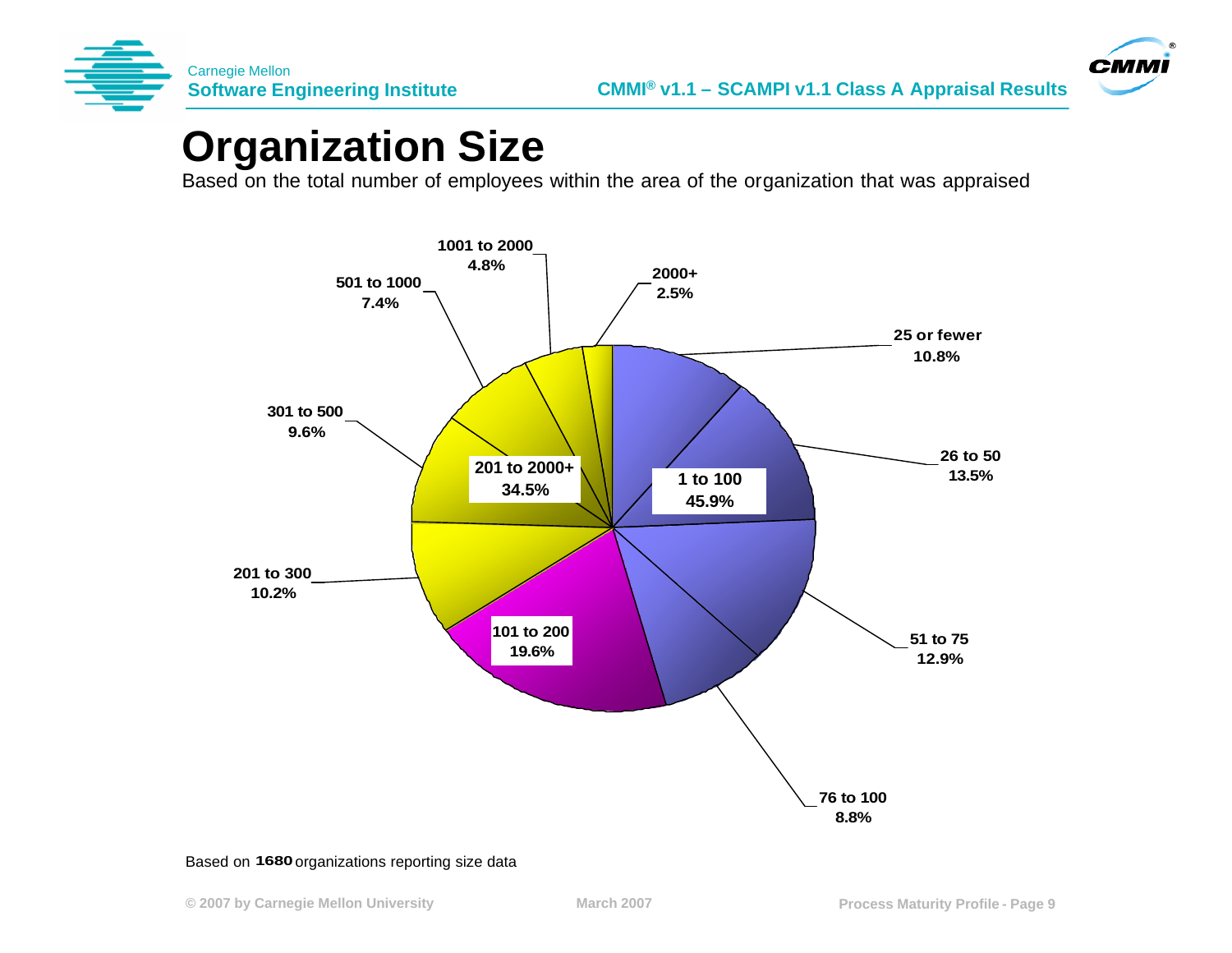



#### **Organization Size**

Based on the total number of employees within the area of the organization that was appraised



#### Based on 1680 organizations reporting size data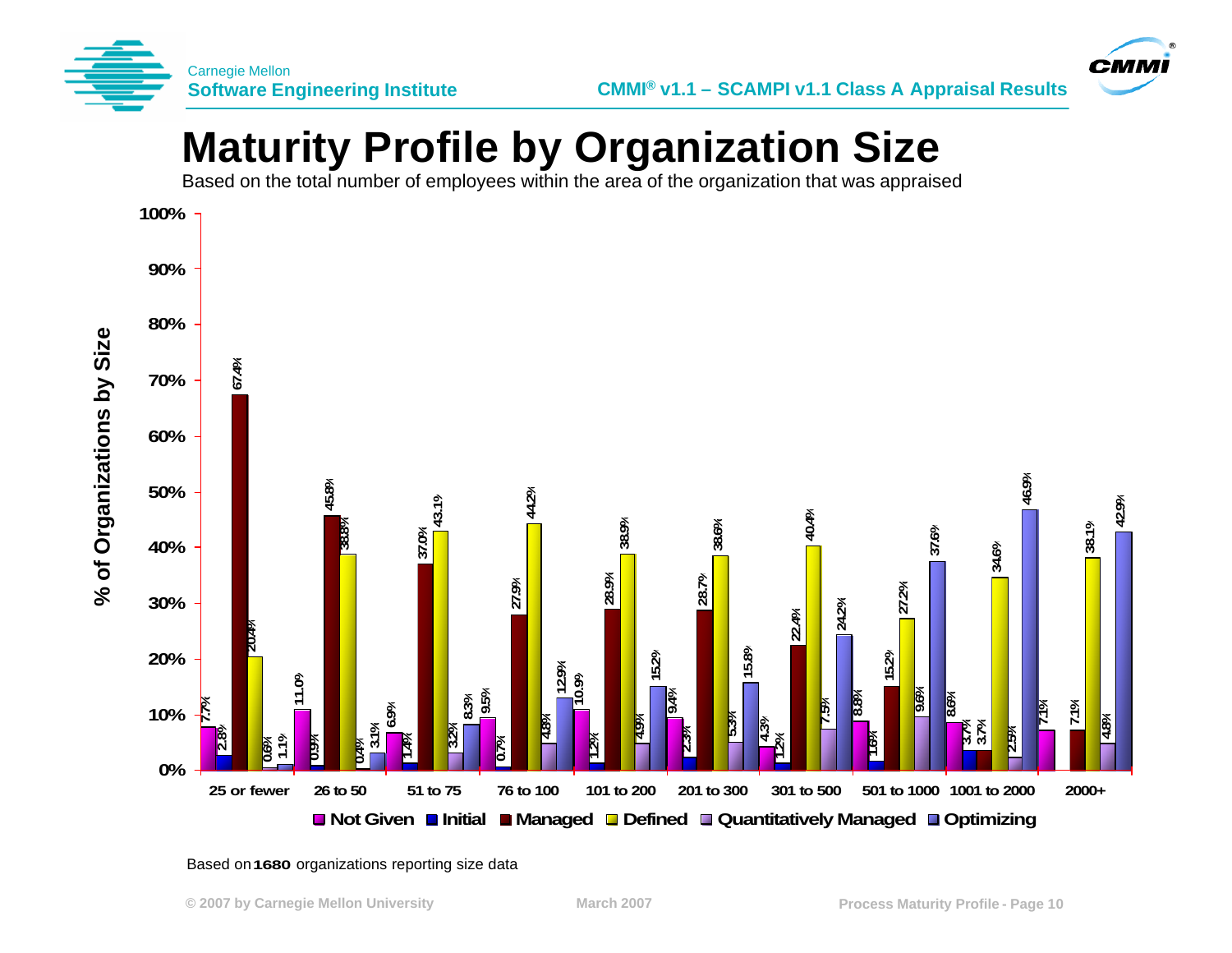



### **Maturity Profile by Organization Size**

Based on the total number of employees within the area of the organization that was appraised



Based on **1680** organizations reporting size data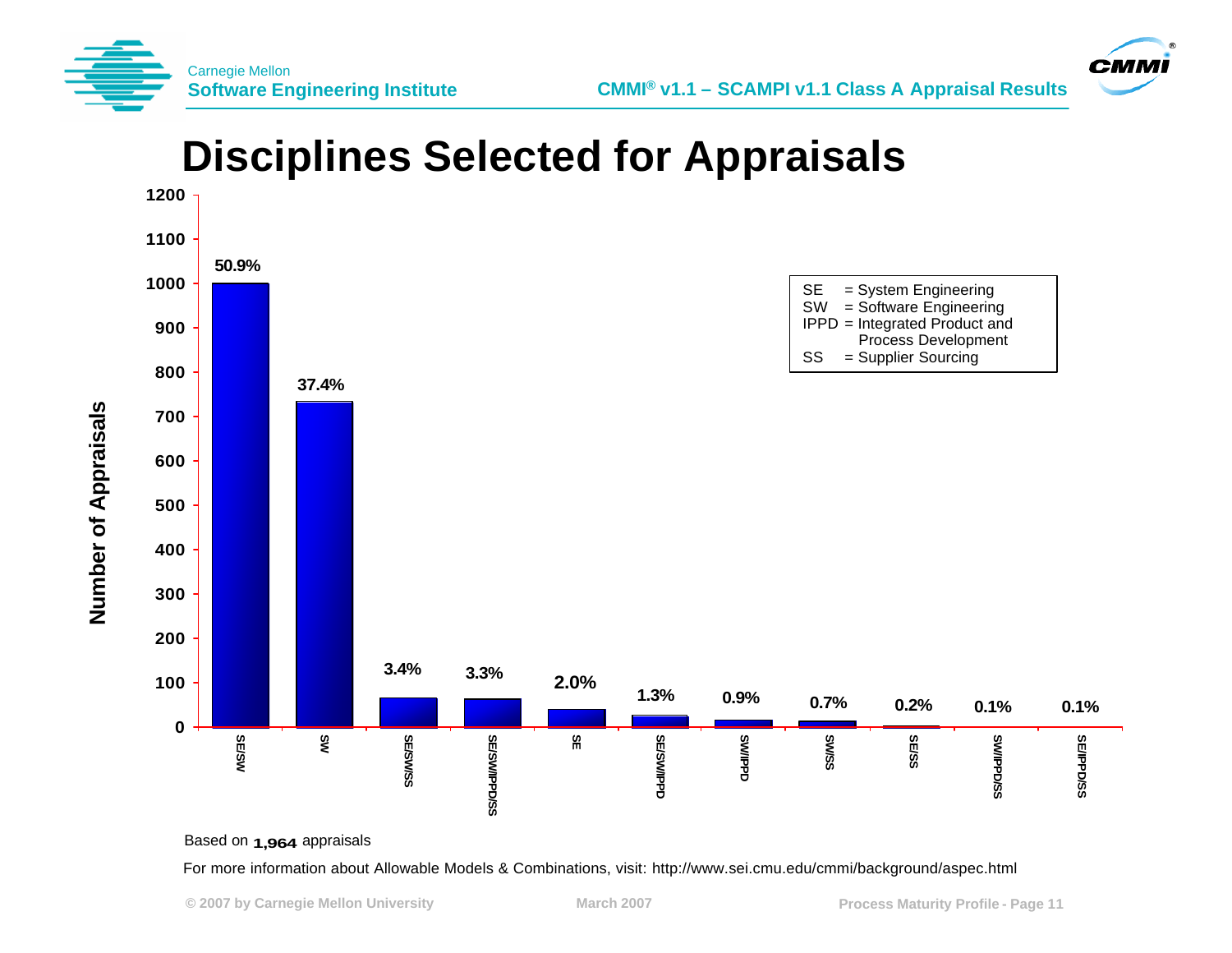

**Number of Appraisals** 





For more information about Allowable Models & Combinations, visit: http://www.sei.cmu.edu/cmmi/background/aspec.html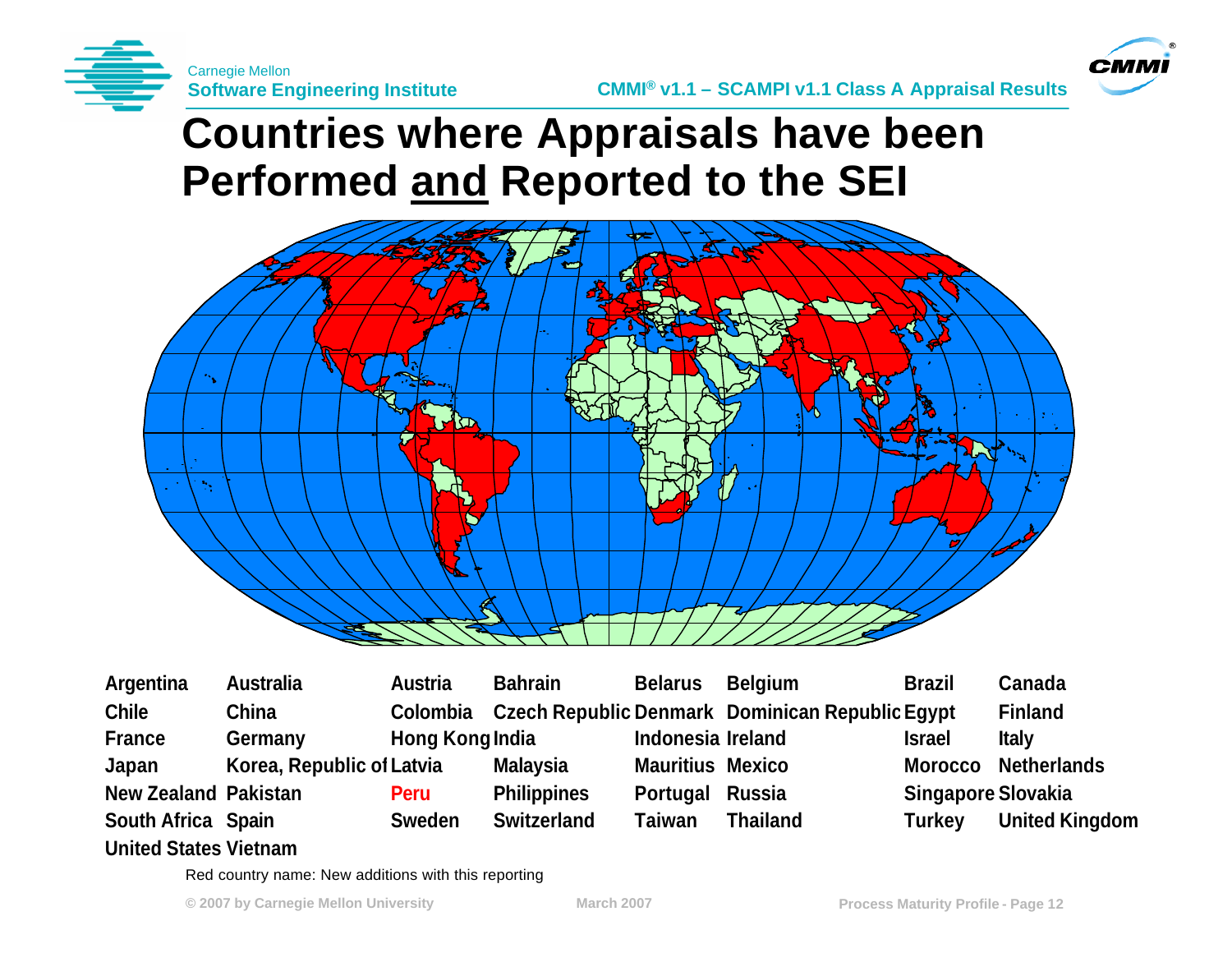



#### **Countries where Appraisals have been Performed and Reported to the SEI**



**Argentina Australia Austria Bahrain Belarus Belgium Brazil Canada Chile China Colombia Czech Republic Denmark Dominican RepublicEgypt Finland France Germany Hong KongIndia Indonesia Ireland Israel Italy Japan Korea, Republic ofLatvia Malaysia Mauritius Mexico Morocco Netherlands New Zealand Pakistan Peru Philippines Portugal Russia Singapore Slovakia South Africa Spain Sweden Switzerland Taiwan Thailand Turkey United Kingdom**

#### **United States Vietnam**

Red country name: New additions with this reporting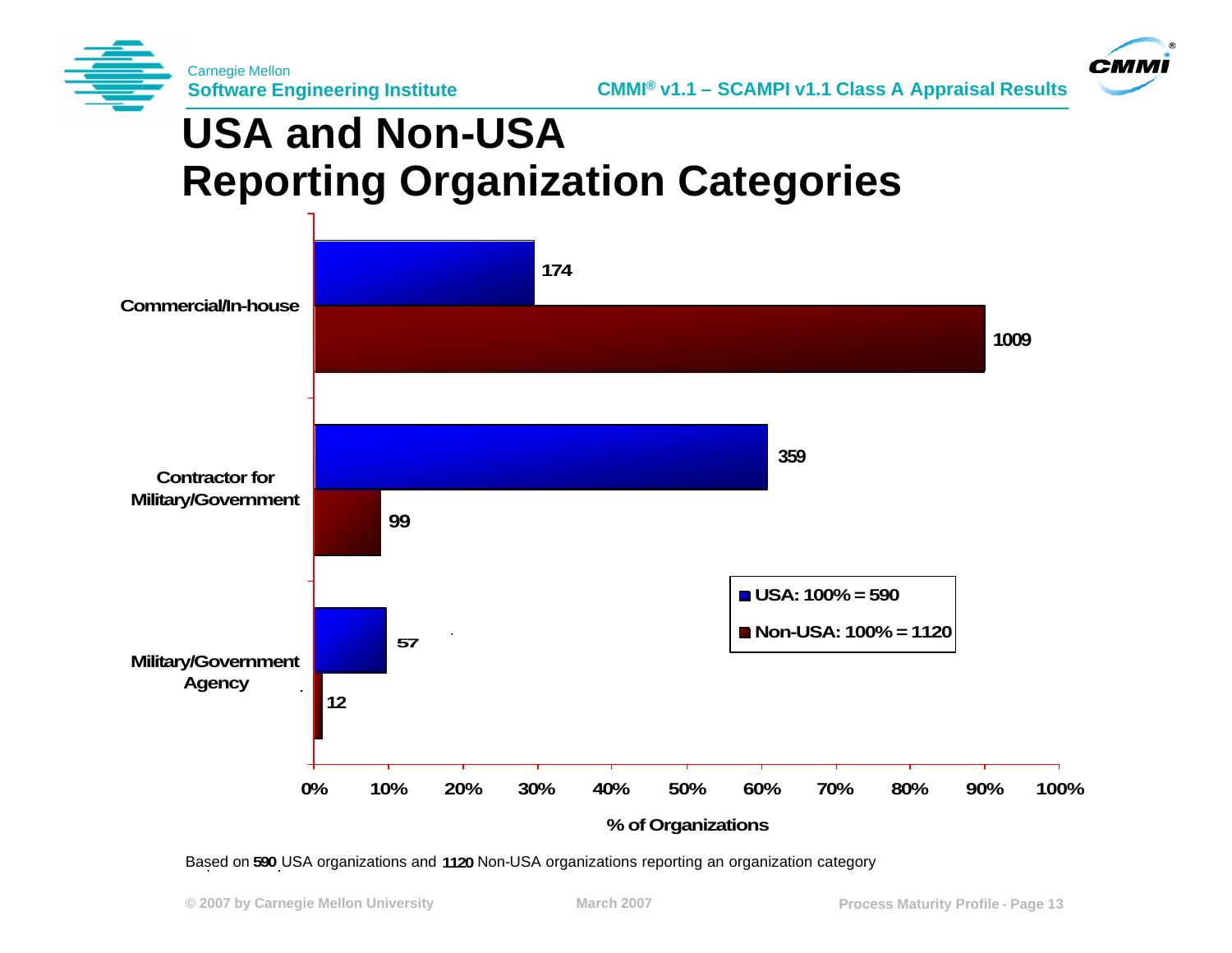



# **USA and Non-USA Reporting Organization Categories**



Based on 590 USA organizations and 1120 Non-USA organizations reporting an organization category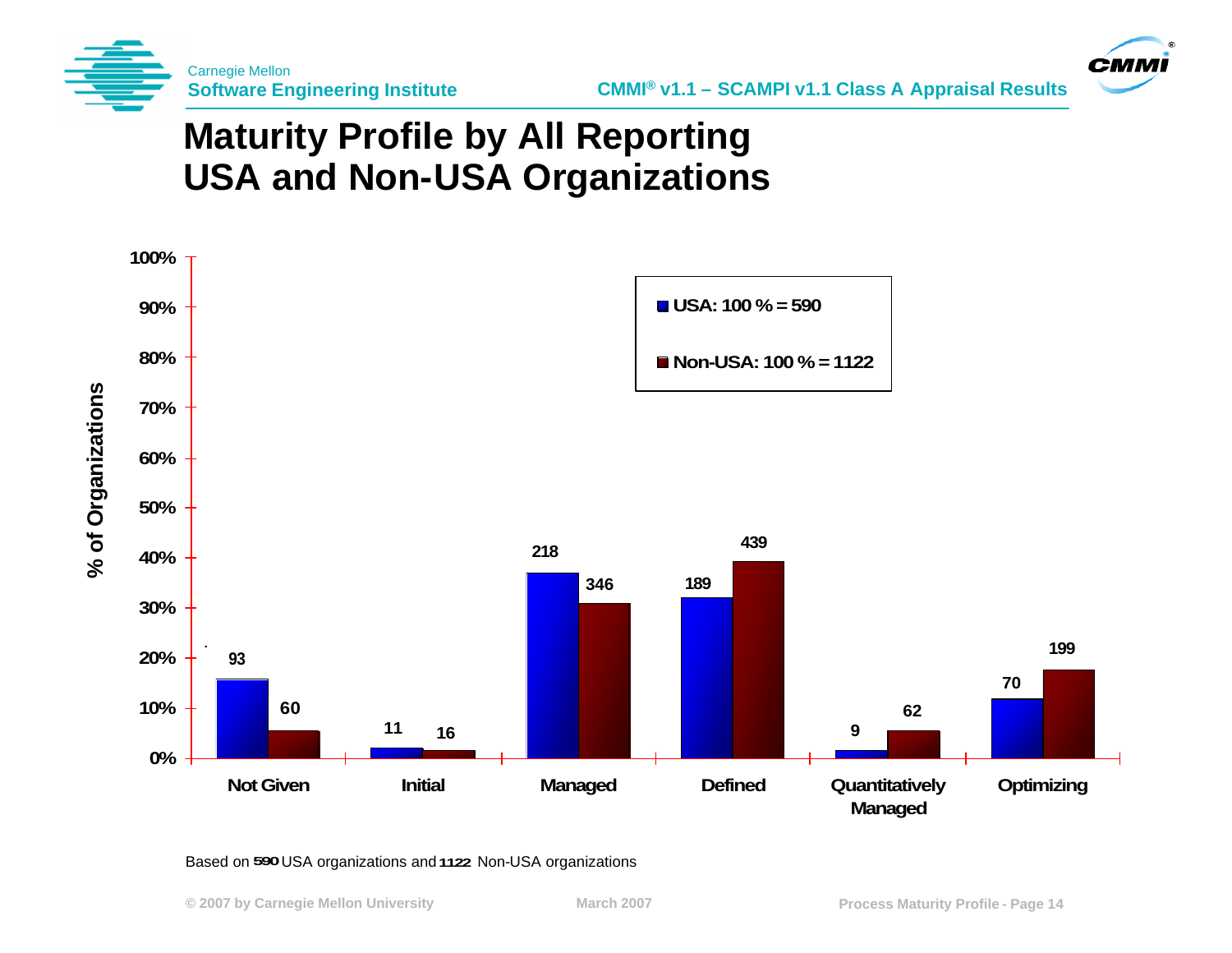



#### **Maturity Profile by All Reporting USA and Non-USA Organizations**



#### Based on 590 USA organizations and 1122 Non-USA organizations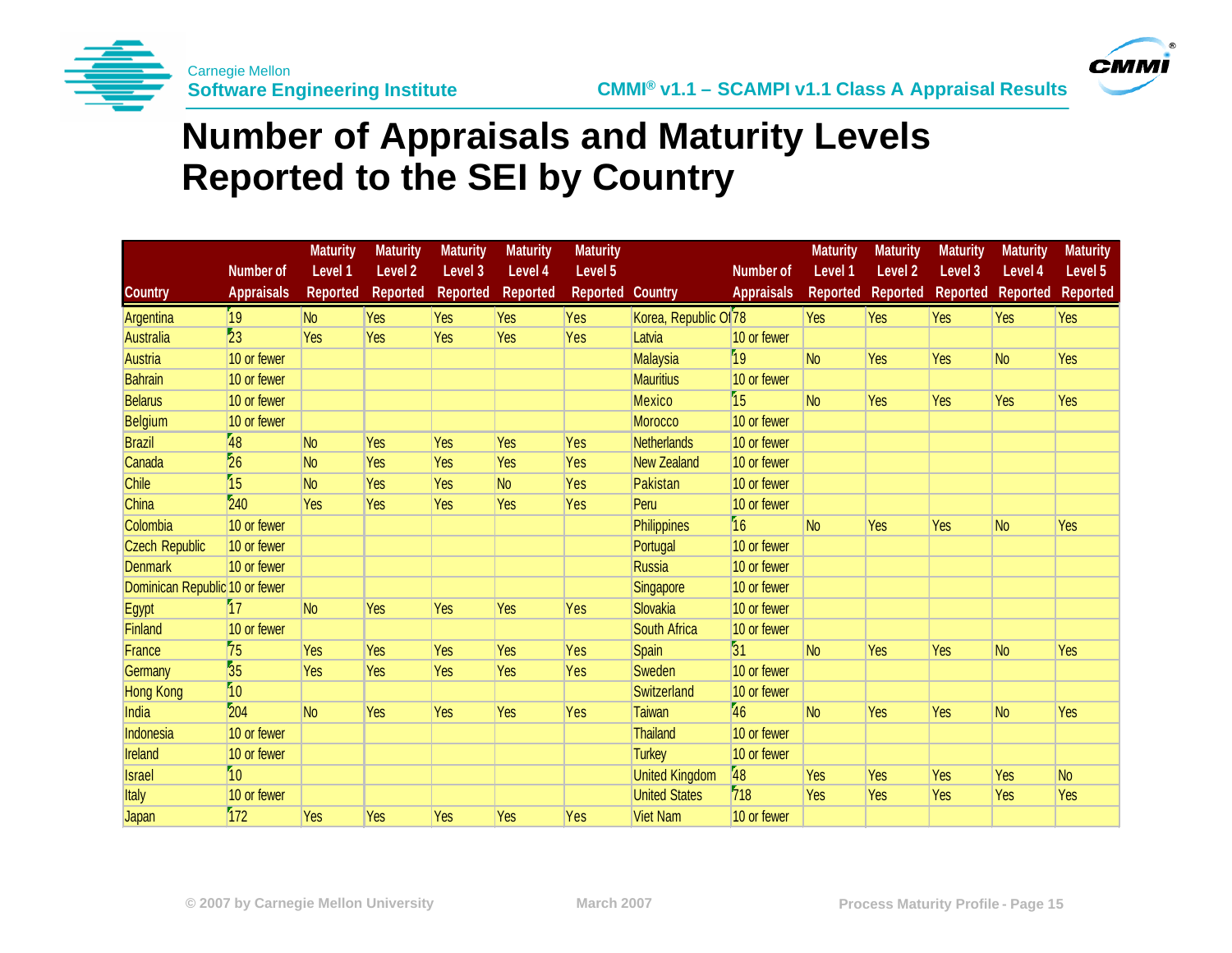



#### **Number of Appraisals and Maturity Levels Reported to the SEI by Country**

|                                |                   | <b>Maturity</b> | <b>Maturity</b> | <b>Maturity</b> | <b>Maturity</b> | <b>Maturity</b>         |                                  |                   | <b>Maturity</b> | <b>Maturity</b>    | <b>Maturity</b> | <b>Maturity</b> | <b>Maturity</b> |
|--------------------------------|-------------------|-----------------|-----------------|-----------------|-----------------|-------------------------|----------------------------------|-------------------|-----------------|--------------------|-----------------|-----------------|-----------------|
|                                | <b>Number of</b>  | Level 1         | Level 2         | Level 3         | Level 4         | Level 5                 |                                  | <b>Number of</b>  | Level 1         | Level <sub>2</sub> | Level 3         | Level 4         | Level 5         |
| <b>Country</b>                 | <b>Appraisals</b> | <b>Reported</b> | <b>Reported</b> | <b>Reported</b> | <b>Reported</b> | <b>Reported Country</b> |                                  | <b>Appraisals</b> | <b>Reported</b> | <b>Reported</b>    | <b>Reported</b> | <b>Reported</b> | <b>Reported</b> |
| Argentina                      | 19                | N <sub>o</sub>  | Yes             | Yes             | Yes             | Yes                     | Korea, Republic Of <sub>78</sub> |                   | Yes             | Yes                | Yes             | Yes             | Yes             |
| <b>Australia</b>               | 23                | Yes             | Yes             | Yes             | Yes             | Yes                     | Latvia                           | 10 or fewer       |                 |                    |                 |                 |                 |
| <b>Austria</b>                 | 10 or fewer       |                 |                 |                 |                 |                         | Malaysia                         | 19                | <b>No</b>       | Yes                | Yes             | <b>No</b>       | Yes             |
| <b>Bahrain</b>                 | 10 or fewer       |                 |                 |                 |                 |                         | <b>Mauritius</b>                 | 10 or fewer       |                 |                    |                 |                 |                 |
| <b>Belarus</b>                 | 10 or fewer       |                 |                 |                 |                 |                         | <b>Mexico</b>                    | 15                | <b>No</b>       | Yes                | Yes             | Yes             | Yes             |
| Belgium                        | 10 or fewer       |                 |                 |                 |                 |                         | <b>Morocco</b>                   | 10 or fewer       |                 |                    |                 |                 |                 |
| <b>Brazil</b>                  | 48                | N <sub>o</sub>  | Yes             | Yes             | Yes             | Yes                     | <b>Netherlands</b>               | 10 or fewer       |                 |                    |                 |                 |                 |
| Canada                         | $\overline{26}$   | N <sub>o</sub>  | Yes             | Yes             | Yes             | Yes                     | <b>New Zealand</b>               | 10 or fewer       |                 |                    |                 |                 |                 |
| Chile                          | 15                | N <sub>o</sub>  | Yes             | Yes             | N <sub>o</sub>  | Yes                     | Pakistan                         | 10 or fewer       |                 |                    |                 |                 |                 |
| China                          | 240               | Yes             | Yes             | Yes             | Yes             | Yes                     | Peru                             | 10 or fewer       |                 |                    |                 |                 |                 |
| Colombia                       | 10 or fewer       |                 |                 |                 |                 |                         | Philippines                      | 16                | <b>No</b>       | Yes                | Yes             | <b>No</b>       | Yes             |
| <b>Czech Republic</b>          | 10 or fewer       |                 |                 |                 |                 |                         | Portugal                         | 10 or fewer       |                 |                    |                 |                 |                 |
| <b>Denmark</b>                 | 10 or fewer       |                 |                 |                 |                 |                         | <b>Russia</b>                    | 10 or fewer       |                 |                    |                 |                 |                 |
| Dominican Republic 10 or fewer |                   |                 |                 |                 |                 |                         | Singapore                        | 10 or fewer       |                 |                    |                 |                 |                 |
| Egypt                          | 57                | N <sub>o</sub>  | Yes             | <b>Yes</b>      | Yes             | Yes                     | Slovakia                         | 10 or fewer       |                 |                    |                 |                 |                 |
| Finland                        | 10 or fewer       |                 |                 |                 |                 |                         | <b>South Africa</b>              | 10 or fewer       |                 |                    |                 |                 |                 |
| France                         | 75                | Yes             | Yes             | <b>Yes</b>      | Yes             | Yes                     | <b>Spain</b>                     | 31                | <b>No</b>       | <b>Yes</b>         | Yes             | N <sub>o</sub>  | Yes             |
| Germany                        | $\overline{35}$   | Yes             | Yes             | <b>Yes</b>      | Yes             | Yes                     | Sweden                           | 10 or fewer       |                 |                    |                 |                 |                 |
| <b>Hong Kong</b>               | 10                |                 |                 |                 |                 |                         | Switzerland                      | 10 or fewer       |                 |                    |                 |                 |                 |
| India                          | 204               | N <sub>o</sub>  | Yes             | <b>Yes</b>      | Yes             | Yes                     | Taiwan                           | 46                | <b>No</b>       | Yes                | Yes             | N <sub>o</sub>  | Yes             |
| Indonesia                      | 10 or fewer       |                 |                 |                 |                 |                         | <b>Thailand</b>                  | 10 or fewer       |                 |                    |                 |                 |                 |
| Ireland                        | 10 or fewer       |                 |                 |                 |                 |                         | <b>Turkey</b>                    | 10 or fewer       |                 |                    |                 |                 |                 |
| <b>Israel</b>                  | 10                |                 |                 |                 |                 |                         | <b>United Kingdom</b>            | 48                | Yes             | Yes                | Yes             | Yes             | N <sub>o</sub>  |
| <b>Italy</b>                   | 10 or fewer       |                 |                 |                 |                 |                         | <b>United States</b>             | 718               | Yes             | Yes                | Yes             | Yes             | Yes             |
| Japan                          | 172               | Yes             | Yes             | <b>Yes</b>      | Yes             | Yes                     | <b>Viet Nam</b>                  | 10 or fewer       |                 |                    |                 |                 |                 |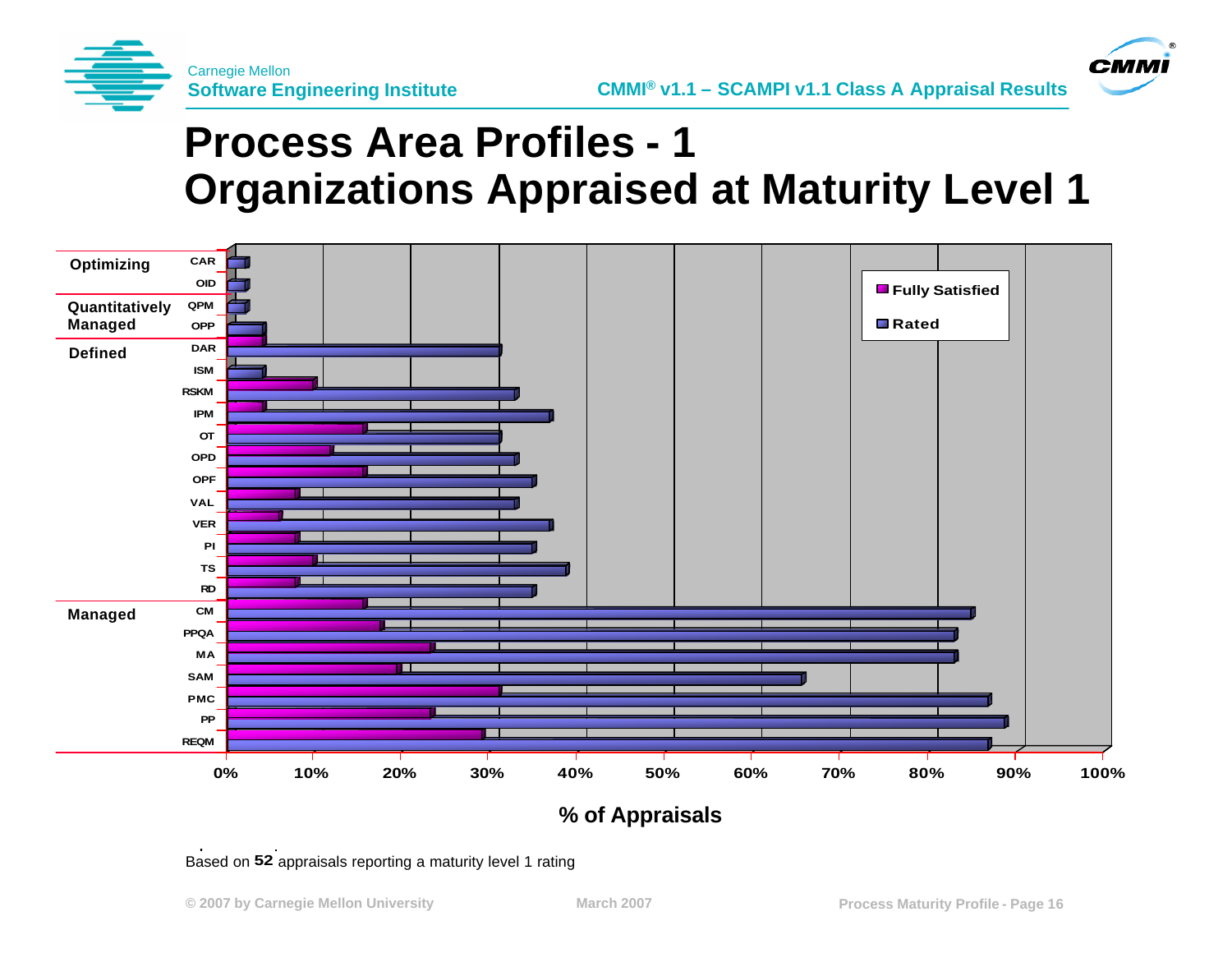

**CMM** 

# **Process Area Profiles - 1 Organizations Appraised at Maturity Level 1**



**% of Appraisals**

Based on 52 appraisals reporting a maturity level 1 rating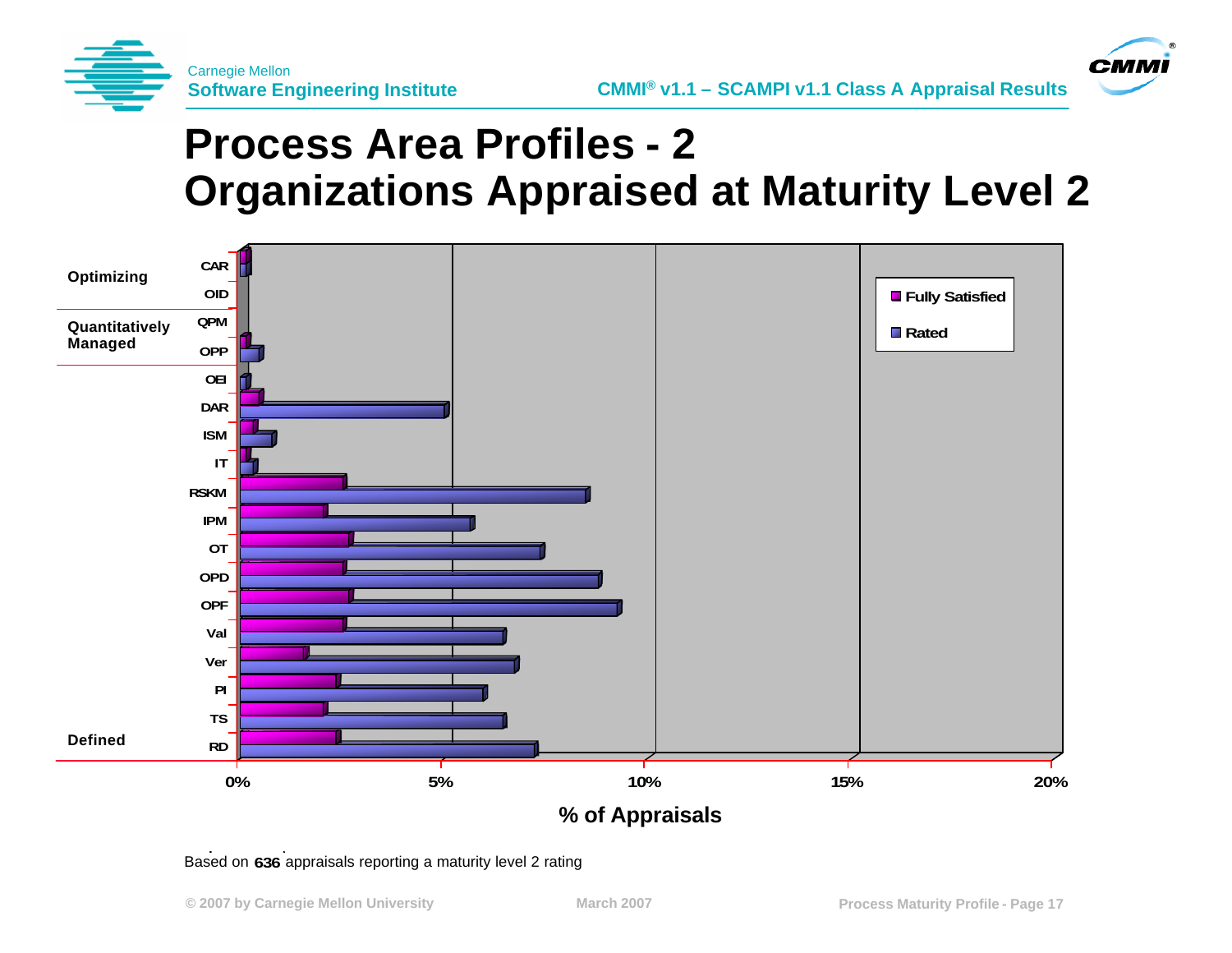

**CMM** 

# **Process Area Profiles - 2 Organizations Appraised at Maturity Level 2**



Based on 636 appraisals reporting a maturity level 2 rating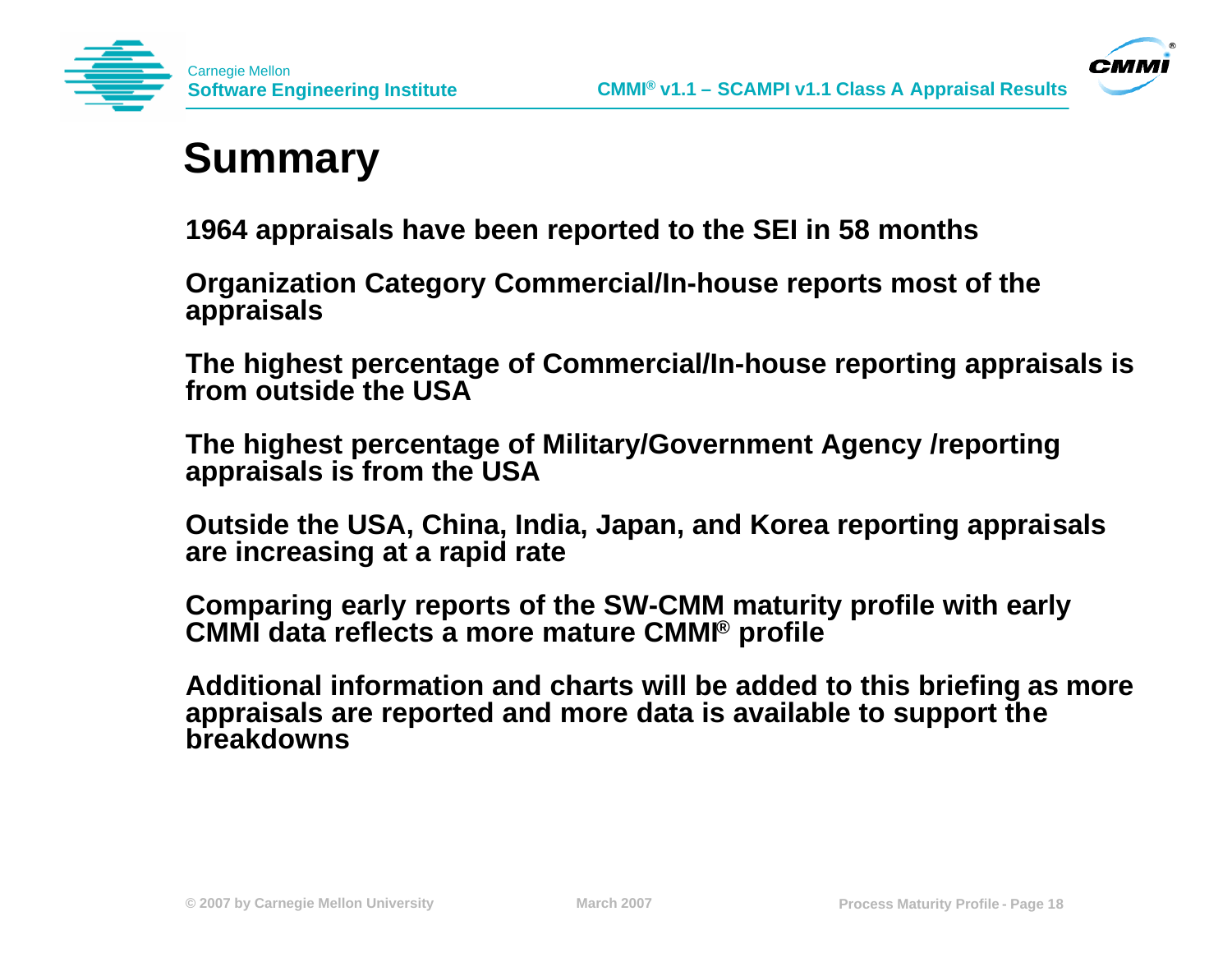



### **Summary**

**1964 appraisals have been reported to the SEI in 58 months**

**Organization Category Commercial/In-house reports most of the appraisals** 

**The highest percentage of Commercial/In-house reporting appraisals is from outside the USA** 

**The highest percentage of Military/Government Agency /reporting appraisals is from the USA** 

**Outside the USA, China, India, Japan, and Korea reporting appraisals are increasing at a rapid rate** 

**Comparing early reports of the SW-CMM maturity profile with early CMMI data reflects a more mature CMMI® profile**

**Additional information and charts will be added to this briefing as more appraisals are reported and more data is available to support the breakdowns**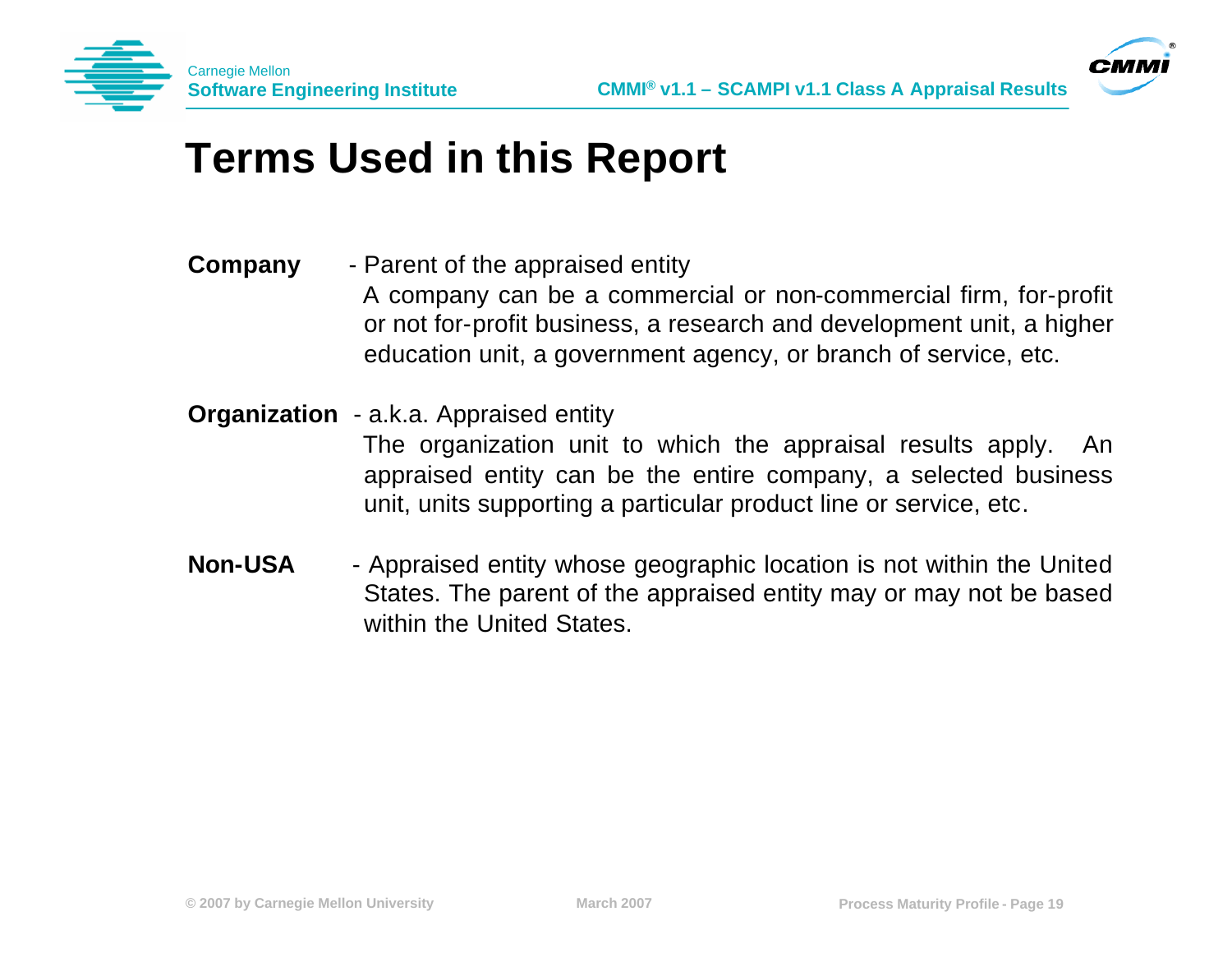



### **Terms Used in this Report**

- **Company** Parent of the appraised entity A company can be a commercial or non-commercial firm, for-profit or not for-profit business, a research and development unit, a higher education unit, a government agency, or branch of service, etc.
- **Organization** a.k.a. Appraised entity

The organization unit to which the appraisal results apply. An appraised entity can be the entire company, a selected business unit, units supporting a particular product line or service, etc.

**Non-USA** - Appraised entity whose geographic location is not within the United States. The parent of the appraised entity may or may not be based within the United States.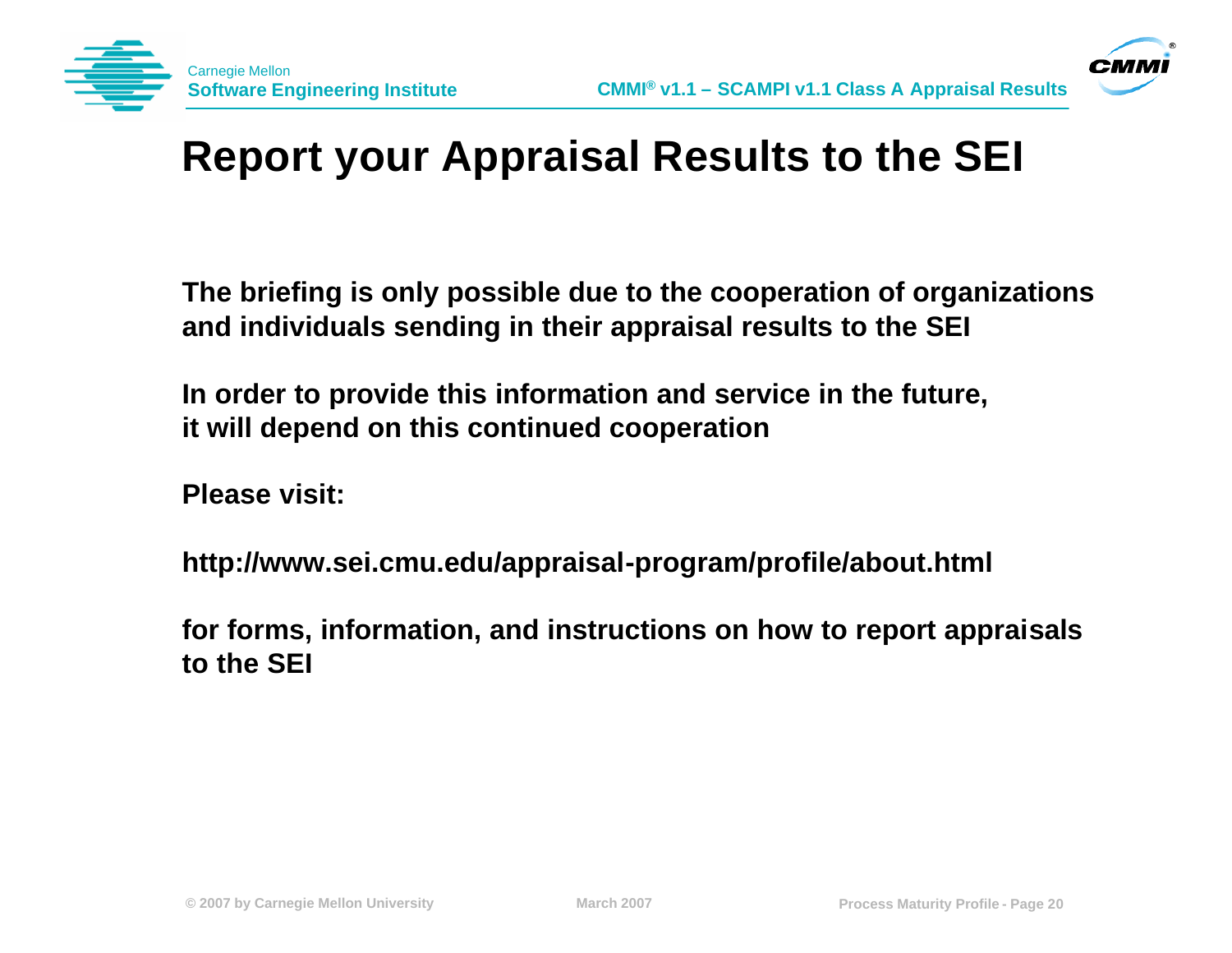



# **Report your Appraisal Results to the SEI**

**The briefing is only possible due to the cooperation of organizations and individuals sending in their appraisal results to the SEI**

**In order to provide this information and service in the future, it will depend on this continued cooperation**

**Please visit:**

**http://www.sei.cmu.edu/appraisal-program/profile/about.html**

**for forms, information, and instructions on how to report appraisals to the SEI**